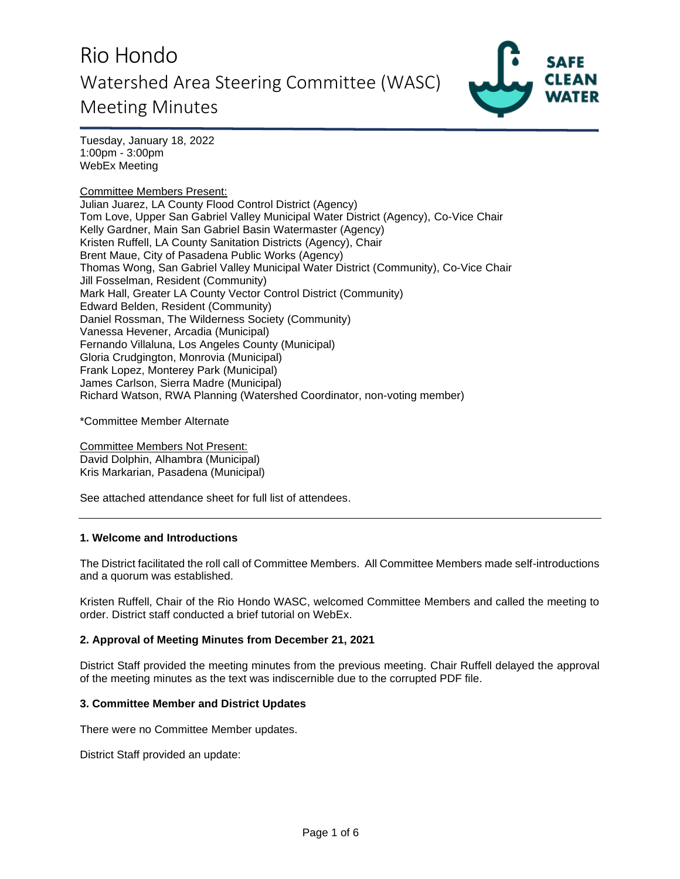# Rio Hondo Watershed Area Steering Committee (WASC) Meeting Minutes



Tuesday, January 18, 2022 1:00pm - 3:00pm WebEx Meeting

Committee Members Present: Julian Juarez, LA County Flood Control District (Agency) Tom Love, Upper San Gabriel Valley Municipal Water District (Agency), Co-Vice Chair Kelly Gardner, Main San Gabriel Basin Watermaster (Agency) Kristen Ruffell, LA County Sanitation Districts (Agency), Chair Brent Maue, City of Pasadena Public Works (Agency) Thomas Wong, San Gabriel Valley Municipal Water District (Community), Co-Vice Chair Jill Fosselman, Resident (Community) Mark Hall, Greater LA County Vector Control District (Community) Edward Belden, Resident (Community) Daniel Rossman, The Wilderness Society (Community) Vanessa Hevener, Arcadia (Municipal) Fernando Villaluna, Los Angeles County (Municipal) Gloria Crudgington, Monrovia (Municipal) Frank Lopez, Monterey Park (Municipal) James Carlson, Sierra Madre (Municipal) Richard Watson, RWA Planning (Watershed Coordinator, non-voting member)

\*Committee Member Alternate

Committee Members Not Present: David Dolphin, Alhambra (Municipal) Kris Markarian, Pasadena (Municipal)

See attached attendance sheet for full list of attendees.

### **1. Welcome and Introductions**

The District facilitated the roll call of Committee Members. All Committee Members made self-introductions and a quorum was established.

Kristen Ruffell, Chair of the Rio Hondo WASC, welcomed Committee Members and called the meeting to order. District staff conducted a brief tutorial on WebEx.

## **2. Approval of Meeting Minutes from December 21, 2021**

District Staff provided the meeting minutes from the previous meeting. Chair Ruffell delayed the approval of the meeting minutes as the text was indiscernible due to the corrupted PDF file.

### **3. Committee Member and District Updates**

There were no Committee Member updates.

District Staff provided an update: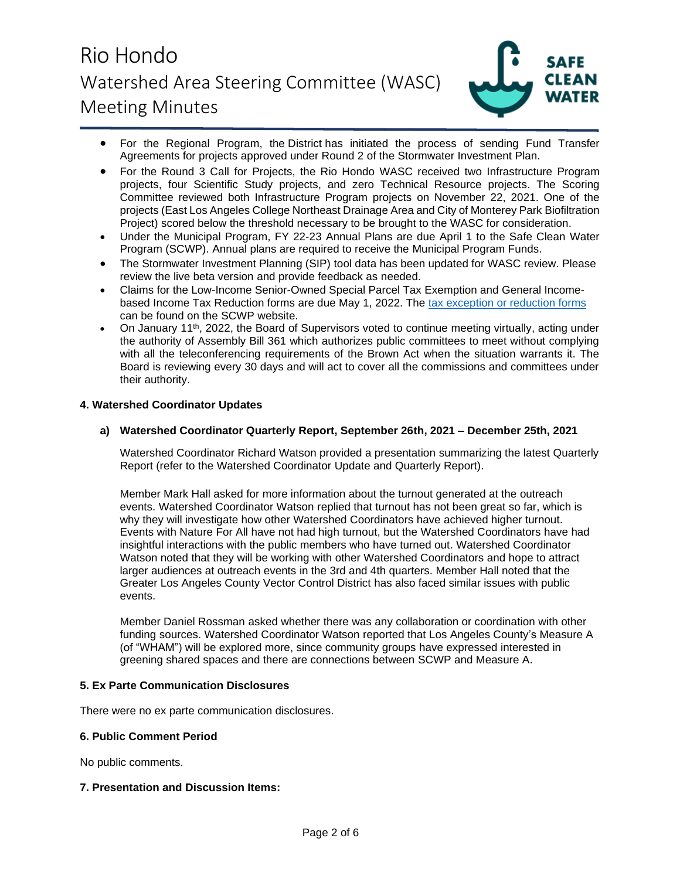# Rio Hondo Watershed Area Steering Committee (WASC) Meeting Minutes



- For the Regional Program, the District has initiated the process of sending Fund Transfer Agreements for projects approved under Round 2 of the Stormwater Investment Plan.
- For the Round 3 Call for Projects, the Rio Hondo WASC received two Infrastructure Program projects, four Scientific Study projects, and zero Technical Resource projects. The Scoring Committee reviewed both Infrastructure Program projects on November 22, 2021. One of the projects (East Los Angeles College Northeast Drainage Area and City of Monterey Park Biofiltration Project) scored below the threshold necessary to be brought to the WASC for consideration.
- Under the Municipal Program, FY 22-23 Annual Plans are due April 1 to the Safe Clean Water Program (SCWP). Annual plans are required to receive the Municipal Program Funds.
- The Stormwater Investment Planning (SIP) tool data has been updated for WASC review. Please review the live beta version and provide feedback as needed.
- Claims for the Low-Income Senior-Owned Special Parcel Tax Exemption and General Incomebased Income Tax Reduction forms are due May 1, 2022. The [tax exception or reduction forms](https://safecleanwaterla.org/resources/tools/) can be found on the SCWP website.
- On January 11<sup>th</sup>, 2022, the Board of Supervisors voted to continue meeting virtually, acting under the authority of Assembly Bill 361 which authorizes public committees to meet without complying with all the teleconferencing requirements of the Brown Act when the situation warrants it. The Board is reviewing every 30 days and will act to cover all the commissions and committees under their authority.

## **4. Watershed Coordinator Updates**

## **a) Watershed Coordinator Quarterly Report, September 26th, 2021 – December 25th, 2021**

Watershed Coordinator Richard Watson provided a presentation summarizing the latest Quarterly Report (refer to the Watershed Coordinator Update and Quarterly Report).

Member Mark Hall asked for more information about the turnout generated at the outreach events. Watershed Coordinator Watson replied that turnout has not been great so far, which is why they will investigate how other Watershed Coordinators have achieved higher turnout. Events with Nature For All have not had high turnout, but the Watershed Coordinators have had insightful interactions with the public members who have turned out. Watershed Coordinator Watson noted that they will be working with other Watershed Coordinators and hope to attract larger audiences at outreach events in the 3rd and 4th quarters. Member Hall noted that the Greater Los Angeles County Vector Control District has also faced similar issues with public events.

Member Daniel Rossman asked whether there was any collaboration or coordination with other funding sources. Watershed Coordinator Watson reported that Los Angeles County's Measure A (of "WHAM") will be explored more, since community groups have expressed interested in greening shared spaces and there are connections between SCWP and Measure A.

### **5. Ex Parte Communication Disclosures**

There were no ex parte communication disclosures.

### **6. Public Comment Period**

No public comments.

### **7. Presentation and Discussion Items:**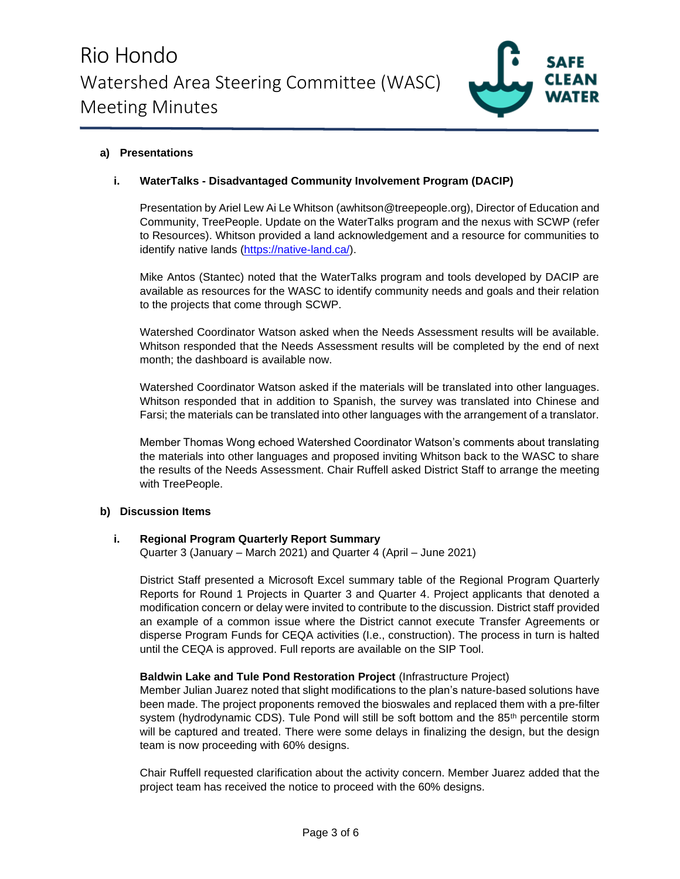

## **a) Presentations**

## **i. WaterTalks - Disadvantaged Community Involvement Program (DACIP)**

Presentation by Ariel Lew Ai Le Whitson (awhitson@treepeople.org), Director of Education and Community, TreePeople. Update on the WaterTalks program and the nexus with SCWP (refer to Resources). Whitson provided a land acknowledgement and a resource for communities to identify native lands [\(https://native-land.ca/\)](https://native-land.ca/).

Mike Antos (Stantec) noted that the WaterTalks program and tools developed by DACIP are available as resources for the WASC to identify community needs and goals and their relation to the projects that come through SCWP.

Watershed Coordinator Watson asked when the Needs Assessment results will be available. Whitson responded that the Needs Assessment results will be completed by the end of next month; the dashboard is available now.

Watershed Coordinator Watson asked if the materials will be translated into other languages. Whitson responded that in addition to Spanish, the survey was translated into Chinese and Farsi; the materials can be translated into other languages with the arrangement of a translator.

Member Thomas Wong echoed Watershed Coordinator Watson's comments about translating the materials into other languages and proposed inviting Whitson back to the WASC to share the results of the Needs Assessment. Chair Ruffell asked District Staff to arrange the meeting with TreePeople.

### **b) Discussion Items**

### **i. Regional Program Quarterly Report Summary**

Quarter 3 (January – March 2021) and Quarter 4 (April – June 2021)

District Staff presented a Microsoft Excel summary table of the Regional Program Quarterly Reports for Round 1 Projects in Quarter 3 and Quarter 4. Project applicants that denoted a modification concern or delay were invited to contribute to the discussion. District staff provided an example of a common issue where the District cannot execute Transfer Agreements or disperse Program Funds for CEQA activities (I.e., construction). The process in turn is halted until the CEQA is approved. Full reports are available on the SIP Tool.

## **Baldwin Lake and Tule Pond Restoration Project** (Infrastructure Project)

Member Julian Juarez noted that slight modifications to the plan's nature-based solutions have been made. The project proponents removed the bioswales and replaced them with a pre-filter system (hydrodynamic CDS). Tule Pond will still be soft bottom and the  $85<sup>th</sup>$  percentile storm will be captured and treated. There were some delays in finalizing the design, but the design team is now proceeding with 60% designs.

Chair Ruffell requested clarification about the activity concern. Member Juarez added that the project team has received the notice to proceed with the 60% designs.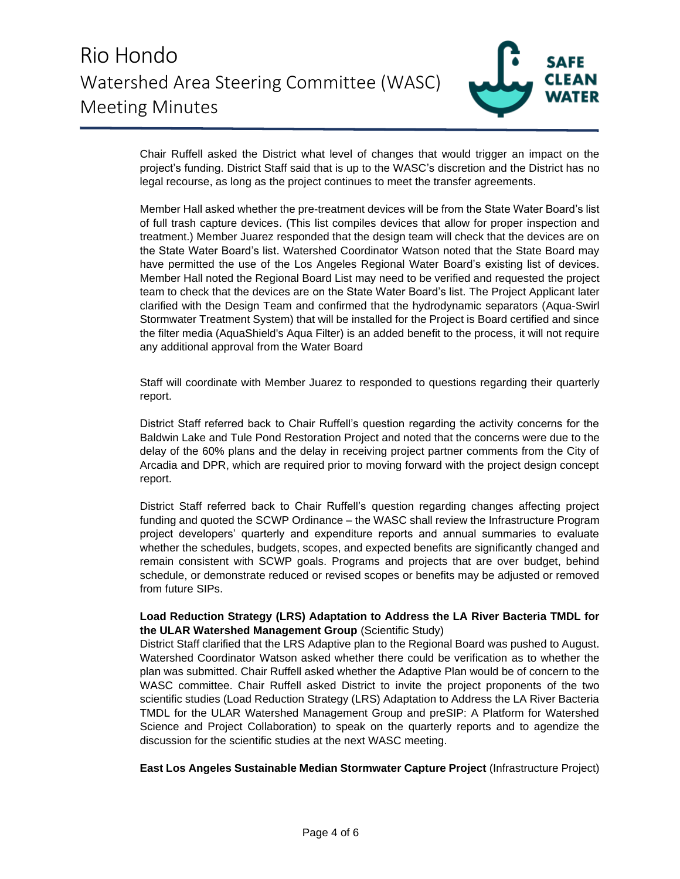

Chair Ruffell asked the District what level of changes that would trigger an impact on the project's funding. District Staff said that is up to the WASC's discretion and the District has no legal recourse, as long as the project continues to meet the transfer agreements.

Member Hall asked whether the pre-treatment devices will be from the State Water Board's list of full trash capture devices. (This list compiles devices that allow for proper inspection and treatment.) Member Juarez responded that the design team will check that the devices are on the State Water Board's list. Watershed Coordinator Watson noted that the State Board may have permitted the use of the Los Angeles Regional Water Board's existing list of devices. Member Hall noted the Regional Board List may need to be verified and requested the project team to check that the devices are on the State Water Board's list. The Project Applicant later clarified with the Design Team and confirmed that the hydrodynamic separators (Aqua-Swirl Stormwater Treatment System) that will be installed for the Project is Board certified and since the filter media (AquaShield's Aqua Filter) is an added benefit to the process, it will not require any additional approval from the Water Board

Staff will coordinate with Member Juarez to responded to questions regarding their quarterly report.

District Staff referred back to Chair Ruffell's question regarding the activity concerns for the Baldwin Lake and Tule Pond Restoration Project and noted that the concerns were due to the delay of the 60% plans and the delay in receiving project partner comments from the City of Arcadia and DPR, which are required prior to moving forward with the project design concept report.

District Staff referred back to Chair Ruffell's question regarding changes affecting project funding and quoted the SCWP Ordinance – the WASC shall review the Infrastructure Program project developers' quarterly and expenditure reports and annual summaries to evaluate whether the schedules, budgets, scopes, and expected benefits are significantly changed and remain consistent with SCWP goals. Programs and projects that are over budget, behind schedule, or demonstrate reduced or revised scopes or benefits may be adjusted or removed from future SIPs.

## **Load Reduction Strategy (LRS) Adaptation to Address the LA River Bacteria TMDL for the ULAR Watershed Management Group** (Scientific Study)

District Staff clarified that the LRS Adaptive plan to the Regional Board was pushed to August. Watershed Coordinator Watson asked whether there could be verification as to whether the plan was submitted. Chair Ruffell asked whether the Adaptive Plan would be of concern to the WASC committee. Chair Ruffell asked District to invite the project proponents of the two scientific studies (Load Reduction Strategy (LRS) Adaptation to Address the LA River Bacteria TMDL for the ULAR Watershed Management Group and preSIP: A Platform for Watershed Science and Project Collaboration) to speak on the quarterly reports and to agendize the discussion for the scientific studies at the next WASC meeting.

**East Los Angeles Sustainable Median Stormwater Capture Project** (Infrastructure Project)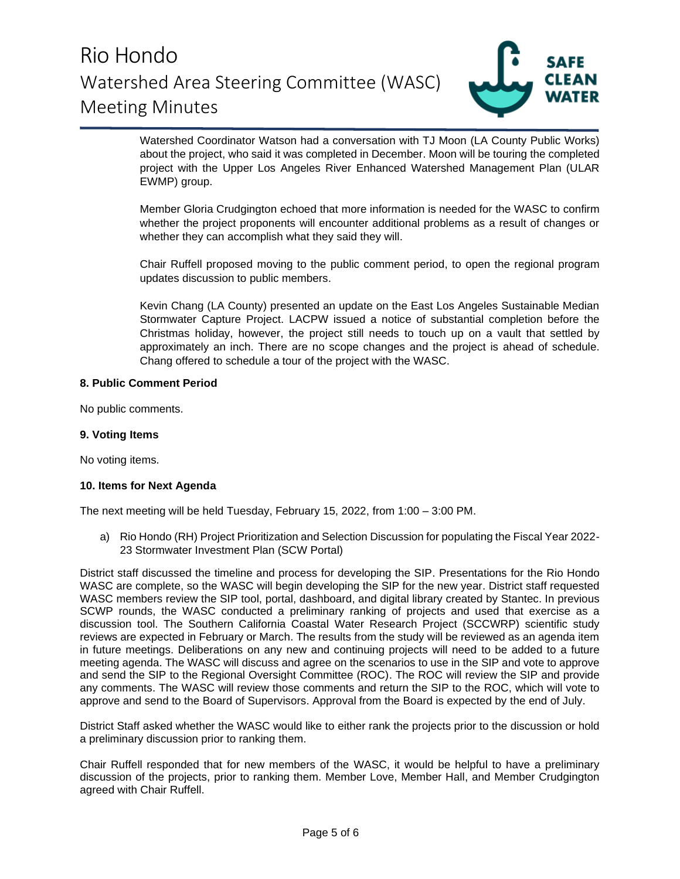

Watershed Coordinator Watson had a conversation with TJ Moon (LA County Public Works) about the project, who said it was completed in December. Moon will be touring the completed project with the Upper Los Angeles River Enhanced Watershed Management Plan (ULAR EWMP) group.

Member Gloria Crudgington echoed that more information is needed for the WASC to confirm whether the project proponents will encounter additional problems as a result of changes or whether they can accomplish what they said they will.

Chair Ruffell proposed moving to the public comment period, to open the regional program updates discussion to public members.

Kevin Chang (LA County) presented an update on the East Los Angeles Sustainable Median Stormwater Capture Project. LACPW issued a notice of substantial completion before the Christmas holiday, however, the project still needs to touch up on a vault that settled by approximately an inch. There are no scope changes and the project is ahead of schedule. Chang offered to schedule a tour of the project with the WASC.

## **8. Public Comment Period**

No public comments.

## **9. Voting Items**

No voting items.

### **10. Items for Next Agenda**

The next meeting will be held Tuesday, February 15, 2022, from 1:00 – 3:00 PM.

a) Rio Hondo (RH) Project Prioritization and Selection Discussion for populating the Fiscal Year 2022- 23 Stormwater Investment Plan (SCW Portal)

District staff discussed the timeline and process for developing the SIP. Presentations for the Rio Hondo WASC are complete, so the WASC will begin developing the SIP for the new year. District staff requested WASC members review the SIP tool, portal, dashboard, and digital library created by Stantec. In previous SCWP rounds, the WASC conducted a preliminary ranking of projects and used that exercise as a discussion tool. The Southern California Coastal Water Research Project (SCCWRP) scientific study reviews are expected in February or March. The results from the study will be reviewed as an agenda item in future meetings. Deliberations on any new and continuing projects will need to be added to a future meeting agenda. The WASC will discuss and agree on the scenarios to use in the SIP and vote to approve and send the SIP to the Regional Oversight Committee (ROC). The ROC will review the SIP and provide any comments. The WASC will review those comments and return the SIP to the ROC, which will vote to approve and send to the Board of Supervisors. Approval from the Board is expected by the end of July.

District Staff asked whether the WASC would like to either rank the projects prior to the discussion or hold a preliminary discussion prior to ranking them.

Chair Ruffell responded that for new members of the WASC, it would be helpful to have a preliminary discussion of the projects, prior to ranking them. Member Love, Member Hall, and Member Crudgington agreed with Chair Ruffell.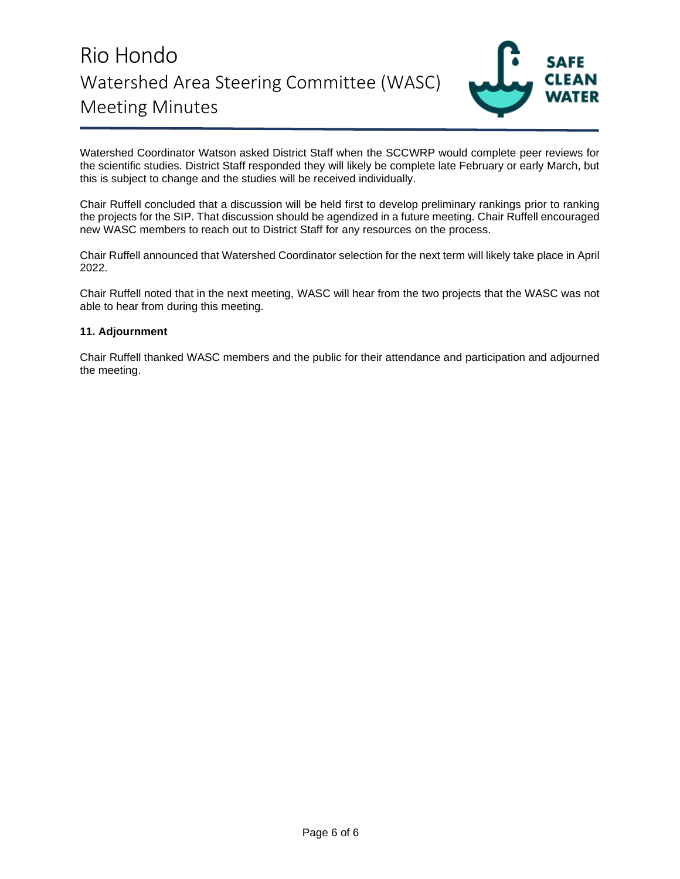# Rio Hondo Watershed Area Steering Committee (WASC) Meeting Minutes



Watershed Coordinator Watson asked District Staff when the SCCWRP would complete peer reviews for the scientific studies. District Staff responded they will likely be complete late February or early March, but this is subject to change and the studies will be received individually.

Chair Ruffell concluded that a discussion will be held first to develop preliminary rankings prior to ranking the projects for the SIP. That discussion should be agendized in a future meeting. Chair Ruffell encouraged new WASC members to reach out to District Staff for any resources on the process.

Chair Ruffell announced that Watershed Coordinator selection for the next term will likely take place in April 2022.

Chair Ruffell noted that in the next meeting, WASC will hear from the two projects that the WASC was not able to hear from during this meeting.

### **11. Adjournment**

Chair Ruffell thanked WASC members and the public for their attendance and participation and adjourned the meeting.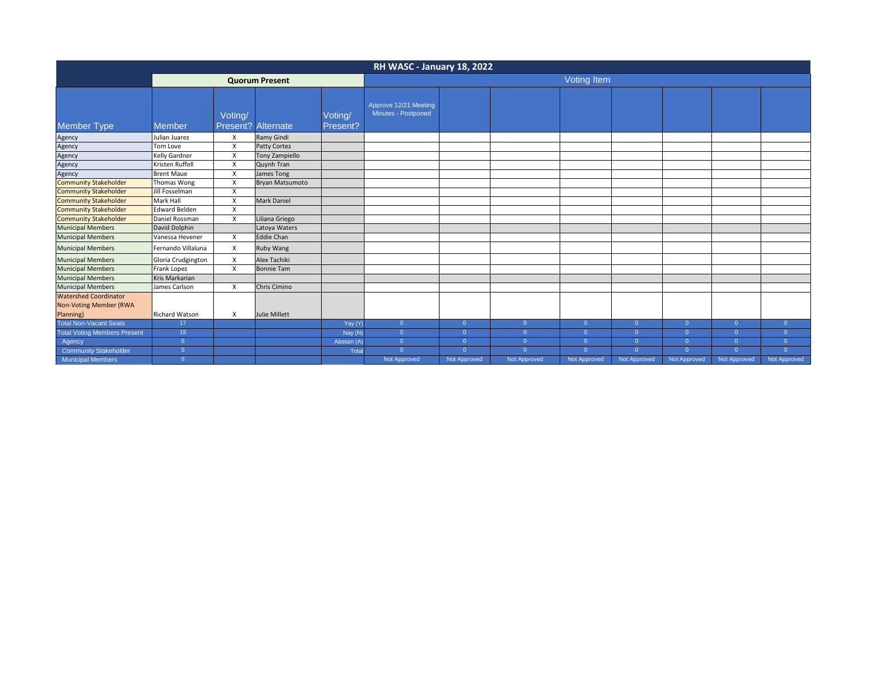| RH WASC - January 18, 2022                                          |                       |         |                           |                     |                                              |                |                |                |              |                |                |                |
|---------------------------------------------------------------------|-----------------------|---------|---------------------------|---------------------|----------------------------------------------|----------------|----------------|----------------|--------------|----------------|----------------|----------------|
|                                                                     | <b>Quorum Present</b> |         |                           |                     | Voting Item                                  |                |                |                |              |                |                |                |
| Member Type                                                         | <b>Member</b>         | Voting/ | <b>Present? Alternate</b> | Voting/<br>Present? | Approve 12/21 Meeting<br>Minutes - Postponed |                |                |                |              |                |                |                |
| Agency                                                              | Julian Juarez         | X       | Ramy Gindi                |                     |                                              |                |                |                |              |                |                |                |
| Agency                                                              | Tom Love              | X       | Patty Cortez              |                     |                                              |                |                |                |              |                |                |                |
| Agency                                                              | Kelly Gardner         | X       | <b>Tony Zampiello</b>     |                     |                                              |                |                |                |              |                |                |                |
| Agency                                                              | Kristen Ruffell       | X       | Quynh Tran                |                     |                                              |                |                |                |              |                |                |                |
| Agency                                                              | <b>Brent Maue</b>     | X       | James Tong                |                     |                                              |                |                |                |              |                |                |                |
| <b>Community Stakeholder</b>                                        | Thomas Wong           | X       | Bryan Matsumoto           |                     |                                              |                |                |                |              |                |                |                |
| <b>Community Stakeholder</b>                                        | Jill Fosselman        | X       |                           |                     |                                              |                |                |                |              |                |                |                |
| <b>Community Stakeholder</b>                                        | Mark Hall             | X       | Mark Daniel               |                     |                                              |                |                |                |              |                |                |                |
| <b>Community Stakeholder</b>                                        | Edward Belden         | X       |                           |                     |                                              |                |                |                |              |                |                |                |
| <b>Community Stakeholder</b>                                        | Daniel Rossman        | X       | Liliana Griego            |                     |                                              |                |                |                |              |                |                |                |
| <b>Municipal Members</b>                                            | David Dolphin         |         | Latoya Waters             |                     |                                              |                |                |                |              |                |                |                |
| <b>Municipal Members</b>                                            | Vanessa Hevener       | X       | <b>Eddie Chan</b>         |                     |                                              |                |                |                |              |                |                |                |
| <b>Municipal Members</b>                                            | Fernando Villaluna    | X       | Ruby Wang                 |                     |                                              |                |                |                |              |                |                |                |
| <b>Municipal Members</b>                                            | Gloria Crudgington    | X       | Alex Tachiki              |                     |                                              |                |                |                |              |                |                |                |
| <b>Municipal Members</b>                                            | Frank Lopez           | X       | <b>Bonnie Tam</b>         |                     |                                              |                |                |                |              |                |                |                |
| <b>Municipal Members</b>                                            | Kris Markarian        |         |                           |                     |                                              |                |                |                |              |                |                |                |
| <b>Municipal Members</b>                                            | James Carlson         | X       | Chris Cimino              |                     |                                              |                |                |                |              |                |                |                |
| <b>Watershed Coordinator</b><br>Non-Voting Member (RWA<br>Planning) | <b>Richard Watson</b> | X       | Julie Millett             |                     |                                              |                |                |                |              |                |                |                |
| <b>Total Non-Vacant Seats</b>                                       | 17                    |         |                           | Yay (Y)             | $\overline{0}$                               | $\overline{0}$ | $\overline{0}$ | $\overline{0}$ | $\mathbf{0}$ | $\overline{0}$ | $\overline{0}$ | $\overline{0}$ |
| <b>Total Voting Members Present</b>                                 | 15                    |         |                           | Nay (N)             | $\overline{0}$                               | $\overline{0}$ | $\Omega$       | $\overline{0}$ | $\Omega$     | $\overline{0}$ | $\Omega$       | $\Omega$       |
| Agency                                                              | 5                     |         |                           | Abstain (A)         | $\overline{0}$                               | $\overline{0}$ | $\overline{0}$ | $\overline{0}$ | $\mathbf{0}$ | $\overline{0}$ | $\Omega$       | $\overline{0}$ |
| Community Stakeholder                                               | 5 <sub>5</sub>        |         |                           | Total               | $\overline{0}$                               | $\overline{0}$ | $\Omega$       | $\overline{0}$ | $\Omega$     | $\overline{0}$ | $\Omega$       | $\Omega$       |
| <b>Municipal Members</b>                                            | $\sqrt{5}$            |         |                           |                     | Not Approved                                 | Not Approved   | Not Approved   | Not Approved   | Not Approved | Not Approved   | Not Approved   | Not Approved   |